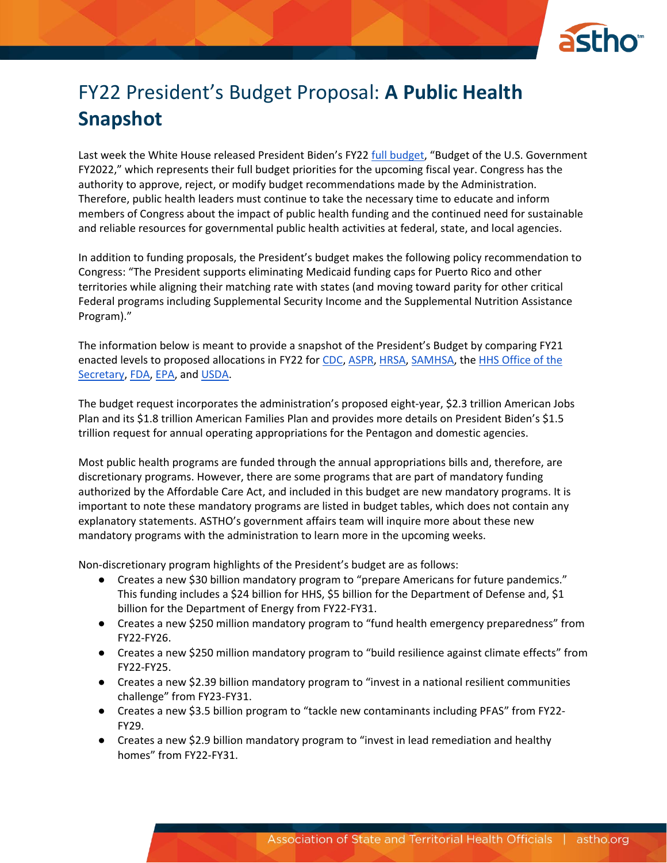

# FY22 President's Budget Proposal: **A Public Health Snapshot**

Last week the White House released President Biden's FY22 [full budget](https://www.whitehouse.gov/wp-content/uploads/2021/05/budget_fy22.pdf), "Budget of the U.S. Government FY2022," which represents their full budget priorities for the upcoming fiscal year. Congress has the authority to approve, reject, or modify budget recommendations made by the Administration. Therefore, public health leaders must continue to take the necessary time to educate and inform members of Congress about the impact of public health funding and the continued need for sustainable and reliable resources for governmental public health activities at federal, state, and local agencies.

In addition to funding proposals, the President's budget makes the following policy recommendation to Congress: "The President supports eliminating Medicaid funding caps for Puerto Rico and other territories while aligning their matching rate with states (and moving toward parity for other critical Federal programs including Supplemental Security Income and the Supplemental Nutrition Assistance Program)."

The information below is meant to provide a snapshot of the President's Budget by comparing FY21 enacted levels to proposed allocations in FY22 for [CDC,](https://www.cdc.gov/budget/documents/fy2022/FY-2022-CDC-congressional-justification.pdf) [ASPR,](https://www.hhs.gov/sites/default/files/fy-2022-phssef-cj.pdf) [HRSA,](https://www.hrsa.gov/sites/default/files/hrsa/about/budget/budget-justification-fy2022.pdf) [SAMHSA,](https://www.samhsa.gov/sites/default/files/samhsa-fy-2022-cj.pdf) th[e HHS Office of the](https://www.hhs.gov/sites/default/files/fy2022-gdm-operating-plan.pdf)  [Secretary,](https://www.hhs.gov/sites/default/files/fy2022-gdm-operating-plan.pdf) [FDA,](https://www.fda.gov/media/149616/download) [EPA,](https://www.epa.gov/sites/production/files/2021-05/documents/fy-2022-congressional-justification-all-tabs.pdf) and [USDA.](https://www.usda.gov/sites/default/files/documents/2022-budget-summary.pdf)

The budget request incorporates the administration's proposed eight-year, \$2.3 trillion American Jobs Plan and its \$1.8 trillion American Families Plan and provides more details on President Biden's \$1.5 trillion request for annual operating appropriations for the Pentagon and domestic agencies.

Most public health programs are funded through the annual appropriations bills and, therefore, are discretionary programs. However, there are some programs that are part of mandatory funding authorized by the Affordable Care Act, and included in this budget are new mandatory programs. It is important to note these mandatory programs are listed in budget tables, which does not contain any explanatory statements. ASTHO's government affairs team will inquire more about these new mandatory programs with the administration to learn more in the upcoming weeks.

Non-discretionary program highlights of the President's budget are as follows:

- Creates a new \$30 billion mandatory program to "prepare Americans for future pandemics." This funding includes a \$24 billion for HHS, \$5 billion for the Department of Defense and, \$1 billion for the Department of Energy from FY22-FY31.
- Creates a new \$250 million mandatory program to "fund health emergency preparedness" from FY22-FY26.
- Creates a new \$250 million mandatory program to "build resilience against climate effects" from FY22-FY25.
- Creates a new \$2.39 billion mandatory program to "invest in a national resilient communities challenge" from FY23-FY31.
- Creates a new \$3.5 billion program to "tackle new contaminants including PFAS" from FY22- FY29.
- Creates a new \$2.9 billion mandatory program to "invest in lead remediation and healthy homes" from FY22-FY31.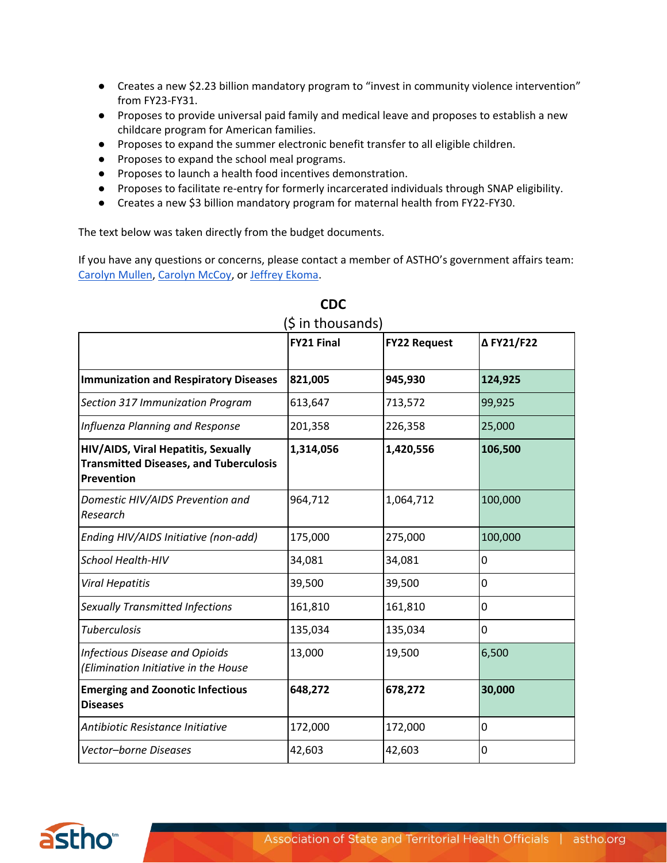- Creates a new \$2.23 billion mandatory program to "invest in community violence intervention" from FY23-FY31.
- Proposes to provide universal paid family and medical leave and proposes to establish a new childcare program for American families.
- Proposes to expand the summer electronic benefit transfer to all eligible children.
- Proposes to expand the school meal programs.
- Proposes to launch a health food incentives demonstration.
- Proposes to facilitate re-entry for formerly incarcerated individuals through SNAP eligibility.
- Creates a new \$3 billion mandatory program for maternal health from FY22-FY30.

The text below was taken directly from the budget documents.

If you have any questions or concerns, please contact a member of ASTHO's government affairs team: [Carolyn Mullen,](mailto:cmullen@astho.org) [Carolyn McCoy,](mailto:cmccoy@astho.org) or [Jeffrey Ekoma.](mailto:jekoma@astho.org)

|                                                                                                    | <b>FY21 Final</b> | <b>FY22 Request</b> | Δ FY21/F22 |
|----------------------------------------------------------------------------------------------------|-------------------|---------------------|------------|
|                                                                                                    |                   |                     |            |
| <b>Immunization and Respiratory Diseases</b>                                                       | 821,005           | 945,930             | 124,925    |
| Section 317 Immunization Program                                                                   | 613,647           | 713,572             | 99,925     |
| Influenza Planning and Response                                                                    | 201,358           | 226,358             | 25,000     |
| HIV/AIDS, Viral Hepatitis, Sexually<br><b>Transmitted Diseases, and Tuberculosis</b><br>Prevention | 1,314,056         | 1,420,556           | 106,500    |
| Domestic HIV/AIDS Prevention and<br>Research                                                       | 964,712           | 1,064,712           | 100,000    |
| Ending HIV/AIDS Initiative (non-add)                                                               | 175,000           | 275,000             | 100,000    |
| School Health-HIV                                                                                  | 34,081            | 34,081              | 0          |
| <b>Viral Hepatitis</b>                                                                             | 39,500            | 39,500              | 0          |
| Sexually Transmitted Infections                                                                    | 161,810           | 161,810             | 0          |
| <b>Tuberculosis</b>                                                                                | 135,034           | 135,034             | 0          |
| <b>Infectious Disease and Opioids</b><br>(Elimination Initiative in the House                      | 13,000            | 19,500              | 6,500      |
| <b>Emerging and Zoonotic Infectious</b><br><b>Diseases</b>                                         | 648,272           | 678,272             | 30,000     |
| Antibiotic Resistance Initiative                                                                   | 172,000           | 172,000             | 0          |
| Vector-borne Diseases                                                                              | 42,603            | 42,603              | 0          |

## **CDC**

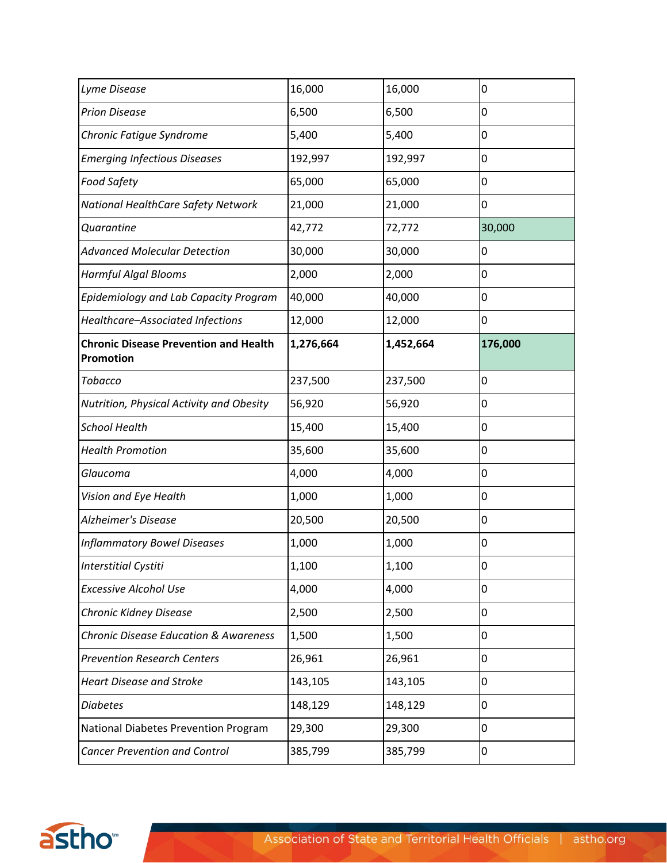| Lyme Disease                                              | 16,000    | 16,000    | 0       |
|-----------------------------------------------------------|-----------|-----------|---------|
| <b>Prion Disease</b>                                      | 6,500     | 6,500     | 0       |
| Chronic Fatigue Syndrome                                  | 5,400     | 5,400     | 0       |
| <b>Emerging Infectious Diseases</b>                       | 192,997   | 192,997   | 0       |
| Food Safety                                               | 65,000    | 65,000    | 0       |
| National HealthCare Safety Network                        | 21,000    | 21,000    | 0       |
| Quarantine                                                | 42,772    | 72,772    | 30,000  |
| <b>Advanced Molecular Detection</b>                       | 30,000    | 30,000    | 0       |
| Harmful Algal Blooms                                      | 2,000     | 2,000     | 0       |
| Epidemiology and Lab Capacity Program                     | 40,000    | 40,000    | 0       |
| Healthcare-Associated Infections                          | 12,000    | 12,000    | 0       |
| <b>Chronic Disease Prevention and Health</b><br>Promotion | 1,276,664 | 1,452,664 | 176,000 |
| Tobacco                                                   | 237,500   | 237,500   | 0       |
| Nutrition, Physical Activity and Obesity                  | 56,920    | 56,920    | 0       |
| <b>School Health</b>                                      | 15,400    | 15,400    | 0       |
| <b>Health Promotion</b>                                   | 35,600    | 35,600    | 0       |
| Glaucoma                                                  | 4,000     | 4,000     | 0       |
| Vision and Eye Health                                     | 1,000     | 1,000     | 0       |
| <b>Alzheimer's Disease</b>                                | 20,500    | 20,500    | 0       |
| <b>Inflammatory Bowel Diseases</b>                        | 1,000     | 1,000     | 0       |
| <b>Interstitial Cystiti</b>                               | 1,100     | 1,100     | 0       |
| <b>Excessive Alcohol Use</b>                              | 4,000     | 4,000     | 0       |
| Chronic Kidney Disease                                    | 2,500     | 2,500     | 0       |
| <b>Chronic Disease Education &amp; Awareness</b>          | 1,500     | 1,500     | 0       |
| <b>Prevention Research Centers</b>                        | 26,961    | 26,961    | 0       |
| <b>Heart Disease and Stroke</b>                           | 143,105   | 143,105   | 0       |
| <b>Diabetes</b>                                           | 148,129   | 148,129   | 0       |
| National Diabetes Prevention Program                      | 29,300    | 29,300    | 0       |
| <b>Cancer Prevention and Control</b>                      | 385,799   | 385,799   | 0       |

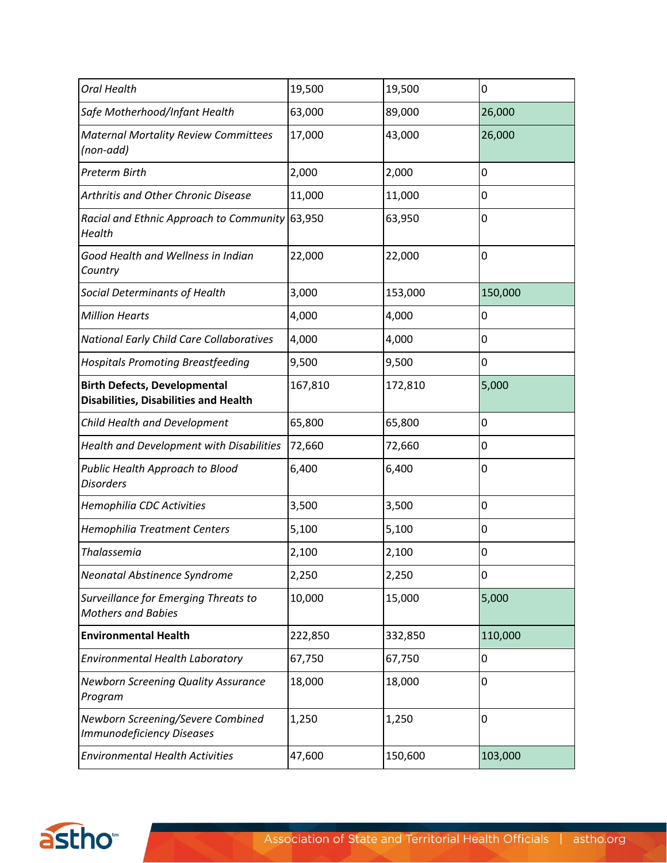| <b>Oral Health</b>                                                                  | 19,500  | 19,500  | 0       |
|-------------------------------------------------------------------------------------|---------|---------|---------|
| Safe Motherhood/Infant Health                                                       | 63,000  | 89,000  | 26,000  |
| <b>Maternal Mortality Review Committees</b><br>(non-add)                            | 17,000  | 43,000  | 26,000  |
| <b>Preterm Birth</b>                                                                | 2,000   | 2,000   | 0       |
| Arthritis and Other Chronic Disease                                                 | 11,000  | 11,000  | 0       |
| Racial and Ethnic Approach to Community<br>Health                                   | 63,950  | 63,950  | 0       |
| Good Health and Wellness in Indian<br>Country                                       | 22,000  | 22,000  | 0       |
| Social Determinants of Health                                                       | 3,000   | 153,000 | 150,000 |
| <b>Million Hearts</b>                                                               | 4,000   | 4,000   | 0       |
| <b>National Early Child Care Collaboratives</b>                                     | 4,000   | 4,000   | 0       |
| <b>Hospitals Promoting Breastfeeding</b>                                            | 9,500   | 9,500   | 0       |
| <b>Birth Defects, Developmental</b><br><b>Disabilities, Disabilities and Health</b> | 167,810 | 172,810 | 5,000   |
| Child Health and Development                                                        | 65,800  | 65,800  | 0       |
| Health and Development with Disabilities                                            | 72,660  | 72,660  | 0       |
| Public Health Approach to Blood<br><b>Disorders</b>                                 | 6,400   | 6,400   | 0       |
| Hemophilia CDC Activities                                                           | 3,500   | 3,500   | 0       |
| <b>Hemophilia Treatment Centers</b>                                                 | 5,100   | 5,100   | 0       |
| <b>Thalassemia</b>                                                                  | 2,100   | 2,100   | 0       |
| Neonatal Abstinence Syndrome                                                        | 2,250   | 2,250   | 0       |
| Surveillance for Emerging Threats to<br><b>Mothers and Babies</b>                   | 10,000  | 15,000  | 5,000   |
| <b>Environmental Health</b>                                                         | 222,850 | 332,850 | 110,000 |
| <b>Environmental Health Laboratory</b>                                              | 67,750  | 67,750  | 0       |
| <b>Newborn Screening Quality Assurance</b><br>Program                               | 18,000  | 18,000  | 0       |
| Newborn Screening/Severe Combined<br><b>Immunodeficiency Diseases</b>               | 1,250   | 1,250   | 0       |
| <b>Environmental Health Activities</b>                                              | 47,600  | 150,600 | 103,000 |

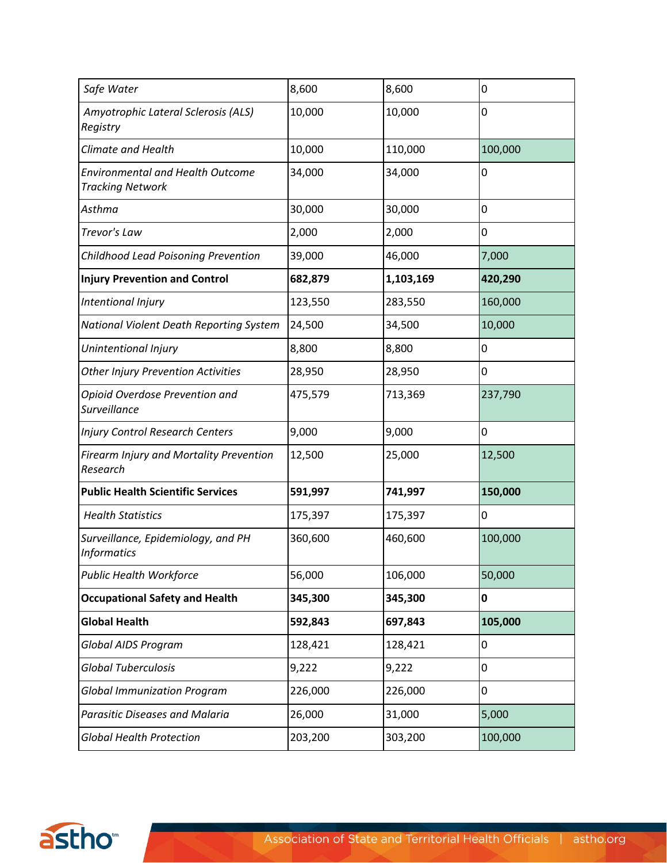| Safe Water                                                         | 8,600   | 8,600     | 0       |
|--------------------------------------------------------------------|---------|-----------|---------|
| Amyotrophic Lateral Sclerosis (ALS)<br>Registry                    | 10,000  | 10,000    | 0       |
| <b>Climate and Health</b>                                          | 10,000  | 110,000   | 100,000 |
| <b>Environmental and Health Outcome</b><br><b>Tracking Network</b> | 34,000  | 34,000    | 0       |
| Asthma                                                             | 30,000  | 30,000    | 0       |
| Trevor's Law                                                       | 2,000   | 2,000     | 0       |
| Childhood Lead Poisoning Prevention                                | 39,000  | 46,000    | 7,000   |
| <b>Injury Prevention and Control</b>                               | 682,879 | 1,103,169 | 420,290 |
| Intentional Injury                                                 | 123,550 | 283,550   | 160,000 |
| National Violent Death Reporting System                            | 24,500  | 34,500    | 10,000  |
| Unintentional Injury                                               | 8,800   | 8,800     | 0       |
| <b>Other Injury Prevention Activities</b>                          | 28,950  | 28,950    | 0       |
| Opioid Overdose Prevention and<br>Surveillance                     | 475,579 | 713,369   | 237,790 |
| <b>Injury Control Research Centers</b>                             | 9,000   | 9,000     | 0       |
| Firearm Injury and Mortality Prevention<br>Research                | 12,500  | 25,000    | 12,500  |
| <b>Public Health Scientific Services</b>                           | 591,997 | 741,997   | 150,000 |
| <b>Health Statistics</b>                                           | 175,397 | 175,397   | 0       |
| Surveillance, Epidemiology, and PH<br><b>Informatics</b>           | 360,600 | 460,600   | 100,000 |
| <b>Public Health Workforce</b>                                     | 56,000  | 106,000   | 50,000  |
| <b>Occupational Safety and Health</b>                              | 345,300 | 345,300   | 0       |
| <b>Global Health</b>                                               | 592,843 | 697,843   | 105,000 |
| Global AIDS Program                                                | 128,421 | 128,421   | 0       |
| <b>Global Tuberculosis</b>                                         | 9,222   | 9,222     | 0       |
| <b>Global Immunization Program</b>                                 | 226,000 | 226,000   | 0       |
| <b>Parasitic Diseases and Malaria</b>                              | 26,000  | 31,000    | 5,000   |
| <b>Global Health Protection</b>                                    | 203,200 | 303,200   | 100,000 |

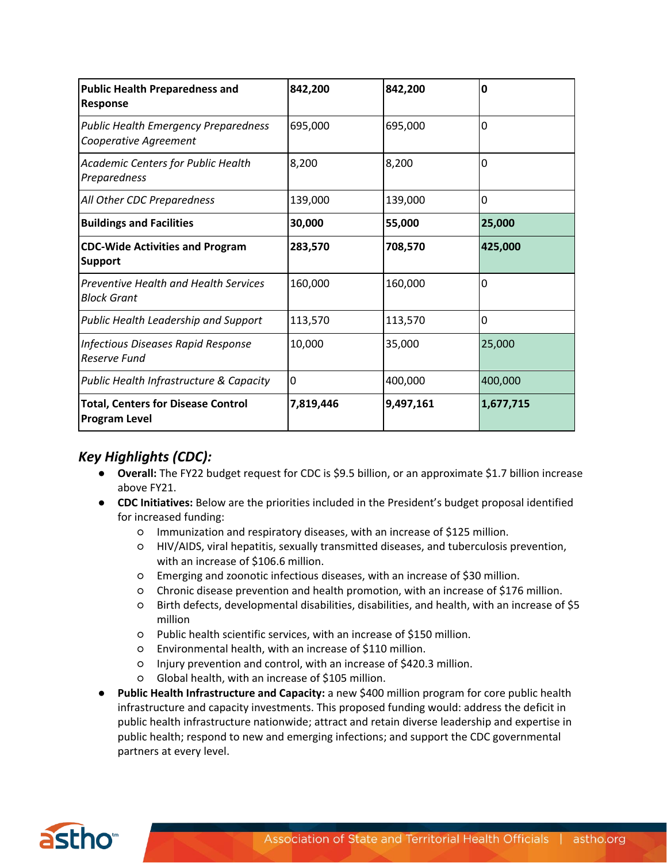| <b>Public Health Preparedness and</b><br>Response                    | 842,200   | 842,200   | 0         |
|----------------------------------------------------------------------|-----------|-----------|-----------|
| <b>Public Health Emergency Preparedness</b><br>Cooperative Agreement | 695,000   | 695,000   | 0         |
| Academic Centers for Public Health<br>Preparedness                   | 8,200     | 8,200     | 0         |
| All Other CDC Preparedness                                           | 139,000   | 139,000   | 0         |
| <b>Buildings and Facilities</b>                                      | 30,000    | 55,000    | 25,000    |
| <b>CDC-Wide Activities and Program</b><br><b>Support</b>             | 283,570   | 708,570   | 425,000   |
| Preventive Health and Health Services<br>Block Grant                 | 160,000   | 160,000   | 0         |
| Public Health Leadership and Support                                 | 113,570   | 113,570   | 0         |
| <b>Infectious Diseases Rapid Response</b><br>Reserve Fund            | 10,000    | 35,000    | 25,000    |
| Public Health Infrastructure & Capacity                              | 0         | 400,000   | 400,000   |
| <b>Total, Centers for Disease Control</b><br><b>Program Level</b>    | 7,819,446 | 9,497,161 | 1,677,715 |

### *Key Highlights (CDC):*

- **Overall:** The FY22 budget request for CDC is \$9.5 billion, or an approximate \$1.7 billion increase above FY21.
- **CDC Initiatives:** Below are the priorities included in the President's budget proposal identified for increased funding:
	- Immunization and respiratory diseases, with an increase of \$125 million.
	- HIV/AIDS, viral hepatitis, sexually transmitted diseases, and tuberculosis prevention, with an increase of \$106.6 million.
	- Emerging and zoonotic infectious diseases, with an increase of \$30 million.
	- Chronic disease prevention and health promotion, with an increase of \$176 million.
	- Birth defects, developmental disabilities, disabilities, and health, with an increase of \$5 million
	- Public health scientific services, with an increase of \$150 million.
	- Environmental health, with an increase of \$110 million.
	- Injury prevention and control, with an increase of \$420.3 million.
	- Global health, with an increase of \$105 million.
- **Public Health Infrastructure and Capacity:** a new \$400 million program for core public health infrastructure and capacity investments. This proposed funding would: address the deficit in public health infrastructure nationwide; attract and retain diverse leadership and expertise in public health; respond to new and emerging infections; and support the CDC governmental partners at every level.

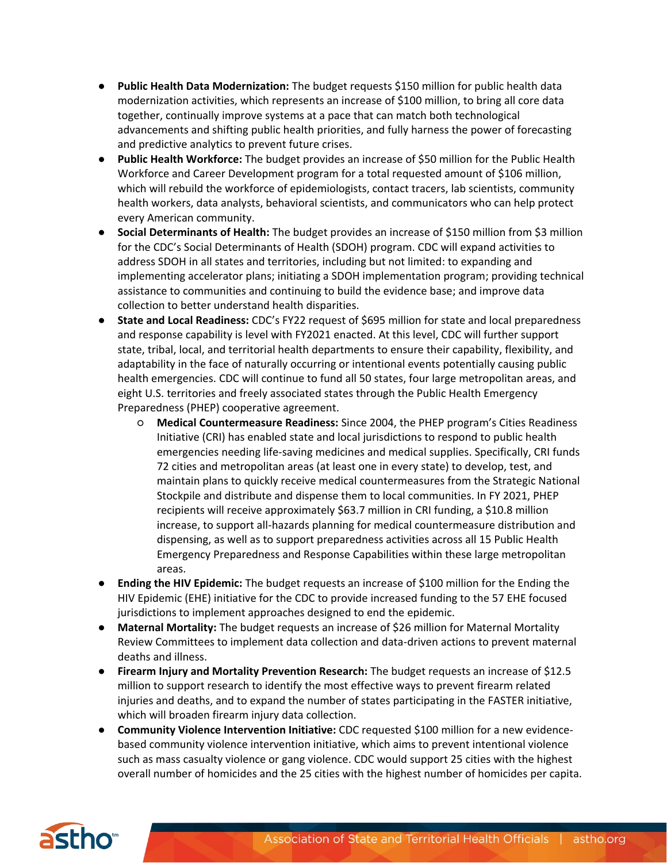- **Public Health Data Modernization:** The budget requests \$150 million for public health data modernization activities, which represents an increase of \$100 million, to bring all core data together, continually improve systems at a pace that can match both technological advancements and shifting public health priorities, and fully harness the power of forecasting and predictive analytics to prevent future crises.
- Public Health Workforce: The budget provides an increase of \$50 million for the Public Health Workforce and Career Development program for a total requested amount of \$106 million, which will rebuild the workforce of epidemiologists, contact tracers, lab scientists, community health workers, data analysts, behavioral scientists, and communicators who can help protect every American community.
- **Social Determinants of Health:** The budget provides an increase of \$150 million from \$3 million for the CDC's Social Determinants of Health (SDOH) program. CDC will expand activities to address SDOH in all states and territories, including but not limited: to expanding and implementing accelerator plans; initiating a SDOH implementation program; providing technical assistance to communities and continuing to build the evidence base; and improve data collection to better understand health disparities.
- **State and Local Readiness:** CDC's FY22 request of \$695 million for state and local preparedness and response capability is level with FY2021 enacted. At this level, CDC will further support state, tribal, local, and territorial health departments to ensure their capability, flexibility, and adaptability in the face of naturally occurring or intentional events potentially causing public health emergencies. CDC will continue to fund all 50 states, four large metropolitan areas, and eight U.S. territories and freely associated states through the Public Health Emergency Preparedness (PHEP) cooperative agreement.
	- **Medical Countermeasure Readiness:** Since 2004, the PHEP program's Cities Readiness Initiative (CRI) has enabled state and local jurisdictions to respond to public health emergencies needing life-saving medicines and medical supplies. Specifically, CRI funds 72 cities and metropolitan areas (at least one in every state) to develop, test, and maintain plans to quickly receive medical countermeasures from the Strategic National Stockpile and distribute and dispense them to local communities. In FY 2021, PHEP recipients will receive approximately \$63.7 million in CRI funding, a \$10.8 million increase, to support all-hazards planning for medical countermeasure distribution and dispensing, as well as to support preparedness activities across all 15 Public Health Emergency Preparedness and Response Capabilities within these large metropolitan areas.
- **Ending the HIV Epidemic:** The budget requests an increase of \$100 million for the Ending the HIV Epidemic (EHE) initiative for the CDC to provide increased funding to the 57 EHE focused jurisdictions to implement approaches designed to end the epidemic.
- **Maternal Mortality:** The budget requests an increase of \$26 million for Maternal Mortality Review Committees to implement data collection and data-driven actions to prevent maternal deaths and illness.
- **Firearm Injury and Mortality Prevention Research:** The budget requests an increase of \$12.5 million to support research to identify the most effective ways to prevent firearm related injuries and deaths, and to expand the number of states participating in the FASTER initiative, which will broaden firearm injury data collection.
- **Community Violence Intervention Initiative:** CDC requested \$100 million for a new evidencebased community violence intervention initiative, which aims to prevent intentional violence such as mass casualty violence or gang violence. CDC would support 25 cities with the highest overall number of homicides and the 25 cities with the highest number of homicides per capita.

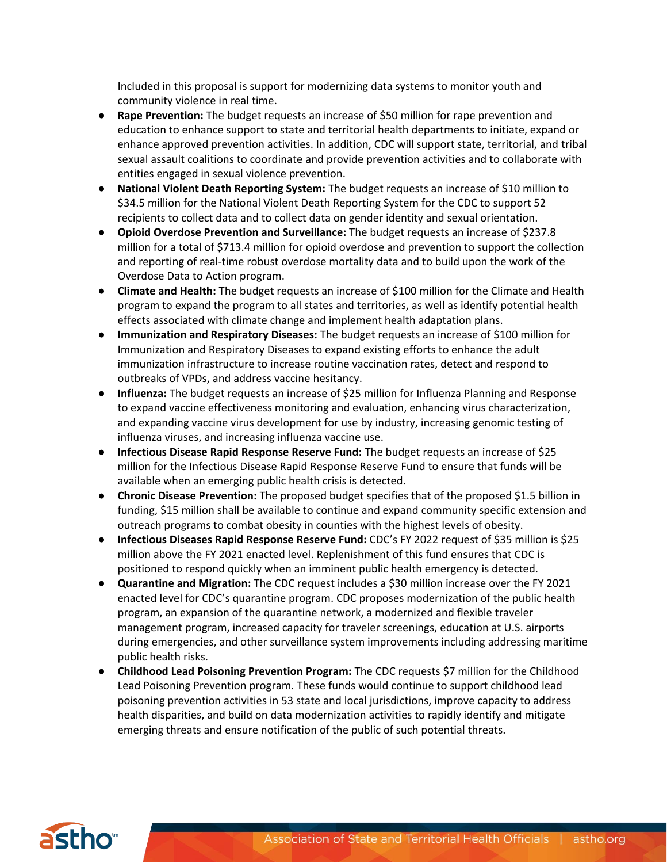Included in this proposal is support for modernizing data systems to monitor youth and community violence in real time.

- **Rape Prevention:** The budget requests an increase of \$50 million for rape prevention and education to enhance support to state and territorial health departments to initiate, expand or enhance approved prevention activities. In addition, CDC will support state, territorial, and tribal sexual assault coalitions to coordinate and provide prevention activities and to collaborate with entities engaged in sexual violence prevention.
- **National Violent Death Reporting System:** The budget requests an increase of \$10 million to \$34.5 million for the National Violent Death Reporting System for the CDC to support 52 recipients to collect data and to collect data on gender identity and sexual orientation.
- **Opioid Overdose Prevention and Surveillance:** The budget requests an increase of \$237.8 million for a total of \$713.4 million for opioid overdose and prevention to support the collection and reporting of real-time robust overdose mortality data and to build upon the work of the Overdose Data to Action program.
- **Climate and Health:** The budget requests an increase of \$100 million for the Climate and Health program to expand the program to all states and territories, as well as identify potential health effects associated with climate change and implement health adaptation plans.
- **Immunization and Respiratory Diseases:** The budget requests an increase of \$100 million for Immunization and Respiratory Diseases to expand existing efforts to enhance the adult immunization infrastructure to increase routine vaccination rates, detect and respond to outbreaks of VPDs, and address vaccine hesitancy.
- **Influenza:** The budget requests an increase of \$25 million for Influenza Planning and Response to expand vaccine effectiveness monitoring and evaluation, enhancing virus characterization, and expanding vaccine virus development for use by industry, increasing genomic testing of influenza viruses, and increasing influenza vaccine use.
- **Infectious Disease Rapid Response Reserve Fund:** The budget requests an increase of \$25 million for the Infectious Disease Rapid Response Reserve Fund to ensure that funds will be available when an emerging public health crisis is detected.
- **Chronic Disease Prevention:** The proposed budget specifies that of the proposed \$1.5 billion in funding, \$15 million shall be available to continue and expand community specific extension and outreach programs to combat obesity in counties with the highest levels of obesity.
- **Infectious Diseases Rapid Response Reserve Fund:** CDC's FY 2022 request of \$35 million is \$25 million above the FY 2021 enacted level. Replenishment of this fund ensures that CDC is positioned to respond quickly when an imminent public health emergency is detected.
- **Quarantine and Migration:** The CDC request includes a \$30 million increase over the FY 2021 enacted level for CDC's quarantine program. CDC proposes modernization of the public health program, an expansion of the quarantine network, a modernized and flexible traveler management program, increased capacity for traveler screenings, education at U.S. airports during emergencies, and other surveillance system improvements including addressing maritime public health risks.
- **Childhood Lead Poisoning Prevention Program:** The CDC requests \$7 million for the Childhood Lead Poisoning Prevention program. These funds would continue to support childhood lead poisoning prevention activities in 53 state and local jurisdictions, improve capacity to address health disparities, and build on data modernization activities to rapidly identify and mitigate emerging threats and ensure notification of the public of such potential threats.

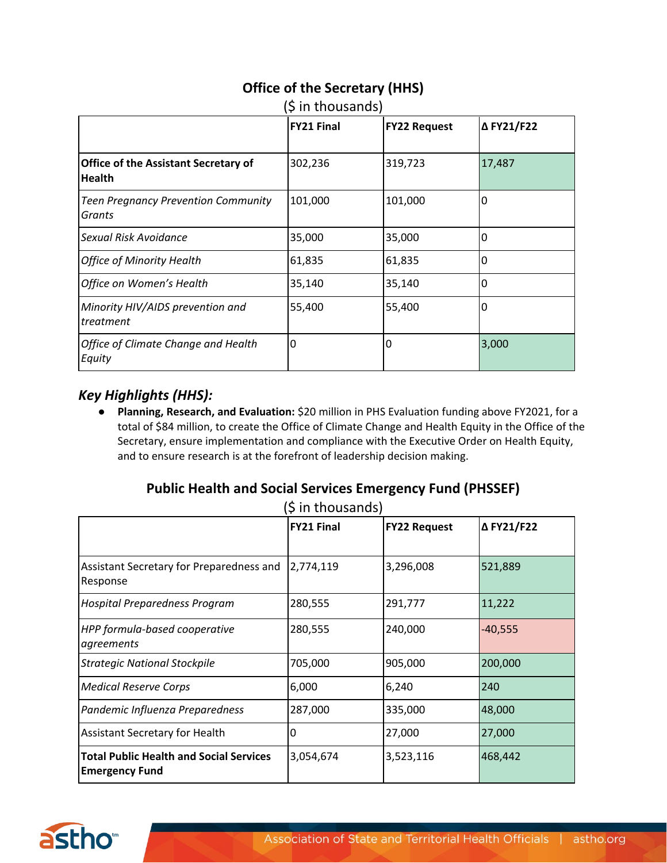|                                                              | (5 in thousands)  |                     |            |  |
|--------------------------------------------------------------|-------------------|---------------------|------------|--|
|                                                              | <b>FY21 Final</b> | <b>FY22 Request</b> | Δ FY21/F22 |  |
| <b>Office of the Assistant Secretary of</b><br><b>Health</b> | 302,236           | 319,723             | 17,487     |  |
| <b>Teen Pregnancy Prevention Community</b><br>Grants         | 101,000           | 101,000             | 0          |  |
| Sexual Risk Avoidance                                        | 35,000            | 35,000              | 0          |  |
| <b>Office of Minority Health</b>                             | 61,835            | 61,835              | 0          |  |
| Office on Women's Health                                     | 35,140            | 35,140              | 0          |  |
| Minority HIV/AIDS prevention and<br>treatment                | 55,400            | 55,400              | 0          |  |
| Office of Climate Change and Health<br>Equity                | 0                 | 0                   | 3,000      |  |

#### **Office of the Secretary (HHS)**  $(A \cdot \mathbf{b})$  in the same

#### *Key Highlights (HHS):*

● **Planning, Research, and Evaluation:** \$20 million in PHS Evaluation funding above FY2021, for a total of \$84 million, to create the Office of Climate Change and Health Equity in the Office of the Secretary, ensure implementation and compliance with the Executive Order on Health Equity, and to ensure research is at the forefront of leadership decision making.

### **Public Health and Social Services Emergency Fund (PHSSEF)**

|  | (\$ in thousands) |  |
|--|-------------------|--|
|--|-------------------|--|

|                                                                         | <b>FY21 Final</b> | <b>FY22 Request</b> | Δ FY21/F22 |
|-------------------------------------------------------------------------|-------------------|---------------------|------------|
| Assistant Secretary for Preparedness and<br>Response                    | 2,774,119         | 3,296,008           | 521,889    |
| <b>Hospital Preparedness Program</b>                                    | 280,555           | 291,777             | 11,222     |
| HPP formula-based cooperative<br>agreements                             | 280,555           | 240,000             | $-40,555$  |
| <b>Strategic National Stockpile</b>                                     | 705,000           | 905,000             | 200,000    |
| <b>Medical Reserve Corps</b>                                            | 6,000             | 6,240               | 240        |
| Pandemic Influenza Preparedness                                         | 287,000           | 335,000             | 48,000     |
| <b>Assistant Secretary for Health</b>                                   | 0                 | 27,000              | 27,000     |
| <b>Total Public Health and Social Services</b><br><b>Emergency Fund</b> | 3,054,674         | 3,523,116           | 468,442    |

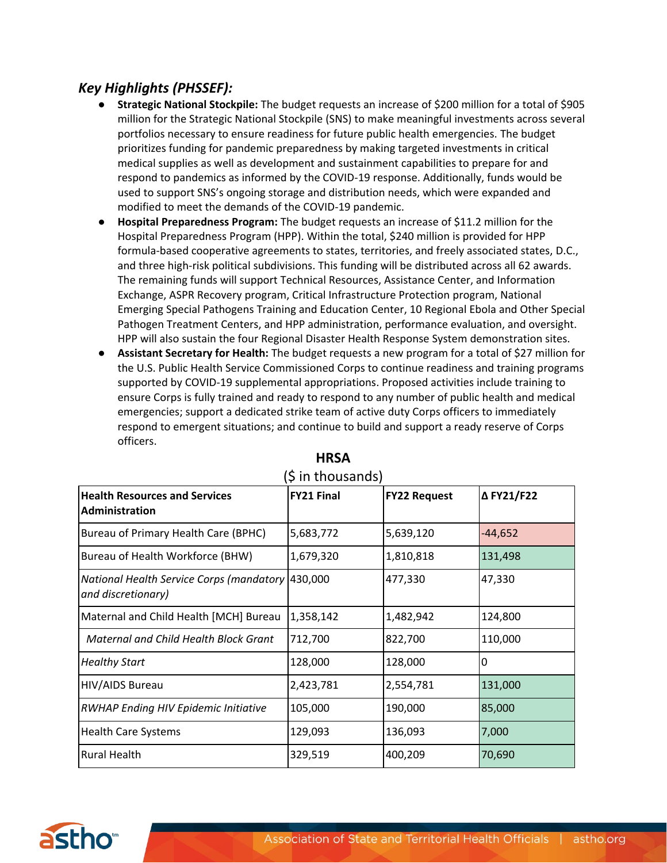### *Key Highlights (PHSSEF):*

- **Strategic National Stockpile:** The budget requests an increase of \$200 million for a total of \$905 million for the Strategic National Stockpile (SNS) to make meaningful investments across several portfolios necessary to ensure readiness for future public health emergencies. The budget prioritizes funding for pandemic preparedness by making targeted investments in critical medical supplies as well as development and sustainment capabilities to prepare for and respond to pandemics as informed by the COVID-19 response. Additionally, funds would be used to support SNS's ongoing storage and distribution needs, which were expanded and modified to meet the demands of the COVID-19 pandemic.
- **Hospital Preparedness Program:** The budget requests an increase of \$11.2 million for the Hospital Preparedness Program (HPP). Within the total, \$240 million is provided for HPP formula-based cooperative agreements to states, territories, and freely associated states, D.C., and three high-risk political subdivisions. This funding will be distributed across all 62 awards. The remaining funds will support Technical Resources, Assistance Center, and Information Exchange, ASPR Recovery program, Critical Infrastructure Protection program, National Emerging Special Pathogens Training and Education Center, 10 Regional Ebola and Other Special Pathogen Treatment Centers, and HPP administration, performance evaluation, and oversight. HPP will also sustain the four Regional Disaster Health Response System demonstration sites.
- **Assistant Secretary for Health:** The budget requests a new program for a total of \$27 million for the U.S. Public Health Service Commissioned Corps to continue readiness and training programs supported by COVID-19 supplemental appropriations. Proposed activities include training to ensure Corps is fully trained and ready to respond to any number of public health and medical emergencies; support a dedicated strike team of active duty Corps officers to immediately respond to emergent situations; and continue to build and support a ready reserve of Corps officers.

| <b>Health Resources and Services</b><br><b>Administration</b>          | <b>FY21 Final</b> | <b>FY22 Request</b> | Δ FY21/F22 |
|------------------------------------------------------------------------|-------------------|---------------------|------------|
| Bureau of Primary Health Care (BPHC)                                   | 5,683,772         | 5,639,120           | -44,652    |
| Bureau of Health Workforce (BHW)                                       | 1,679,320         | 1,810,818           | 131,498    |
| National Health Service Corps (mandatory 430,000<br>and discretionary) |                   | 477,330             | 47,330     |
| Maternal and Child Health [MCH] Bureau                                 | 1,358,142         | 1,482,942           | 124,800    |
| Maternal and Child Health Block Grant                                  | 712,700           | 822,700             | 110,000    |
| <b>Healthy Start</b>                                                   | 128,000           | 128,000             | 0          |
| HIV/AIDS Bureau                                                        | 2,423,781         | 2,554,781           | 131,000    |
| <b>RWHAP Ending HIV Epidemic Initiative</b>                            | 105,000           | 190,000             | 85,000     |
| <b>Health Care Systems</b>                                             | 129,093           | 136,093             | 7,000      |
| <b>Rural Health</b>                                                    | 329,519           | 400,209             | 70,690     |

#### **HRSA**   $(5$  in thousands)

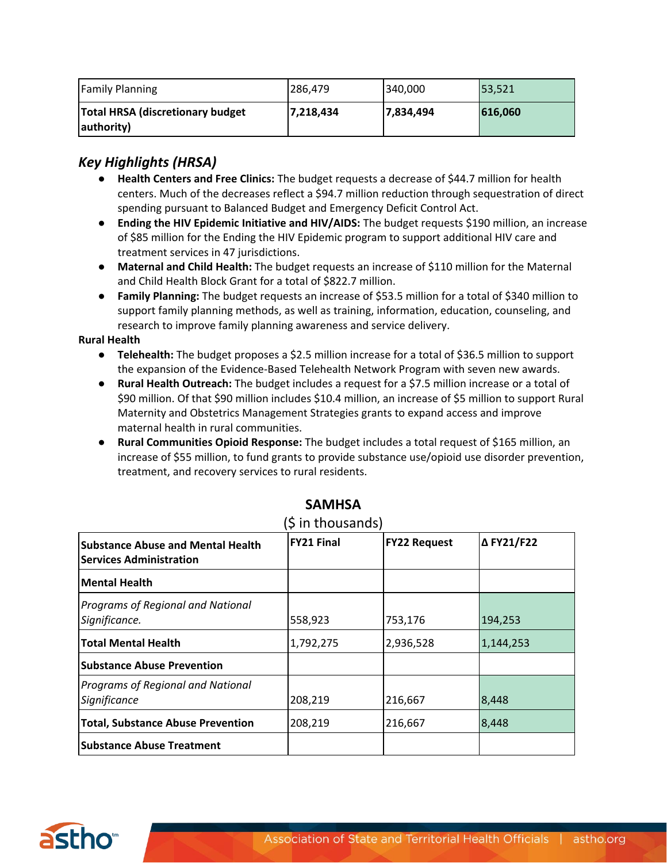| <b>Family Planning</b>                                 | 286.479   | 340,000   | 53,521  |
|--------------------------------------------------------|-----------|-----------|---------|
| <b>Total HRSA (discretionary budget)</b><br>authority) | 7,218,434 | 7,834,494 | 616,060 |

#### *Key Highlights (HRSA)*

- **Health Centers and Free Clinics:** The budget requests a decrease of \$44.7 million for health centers. Much of the decreases reflect a \$94.7 million reduction through sequestration of direct spending pursuant to Balanced Budget and Emergency Deficit Control Act.
- **Ending the HIV Epidemic Initiative and HIV/AIDS:** The budget requests \$190 million, an increase of \$85 million for the Ending the HIV Epidemic program to support additional HIV care and treatment services in 47 jurisdictions.
- **Maternal and Child Health:** The budget requests an increase of \$110 million for the Maternal and Child Health Block Grant for a total of \$822.7 million.
- **Family Planning:** The budget requests an increase of \$53.5 million for a total of \$340 million to support family planning methods, as well as training, information, education, counseling, and research to improve family planning awareness and service delivery.

#### **Rural Health**

- **Telehealth:** The budget proposes a \$2.5 million increase for a total of \$36.5 million to support the expansion of the Evidence-Based Telehealth Network Program with seven new awards.
- **Rural Health Outreach:** The budget includes a request for a \$7.5 million increase or a total of \$90 million. Of that \$90 million includes \$10.4 million, an increase of \$5 million to support Rural Maternity and Obstetrics Management Strategies grants to expand access and improve maternal health in rural communities.
- **Rural Communities Opioid Response:** The budget includes a total request of \$165 million, an increase of \$55 million, to fund grants to provide substance use/opioid use disorder prevention, treatment, and recovery services to rural residents.

| <b>Substance Abuse and Mental Health</b><br><b>Services Administration</b> | <b>FY21 Final</b> | <b>FY22 Request</b> | Δ FY21/F22 |
|----------------------------------------------------------------------------|-------------------|---------------------|------------|
| Mental Health                                                              |                   |                     |            |
| Programs of Regional and National<br>Significance.                         | 558,923           | 753,176             | 194,253    |
| <b>Total Mental Health</b>                                                 | 1,792,275         | 2,936,528           | 1,144,253  |
| <b>Substance Abuse Prevention</b>                                          |                   |                     |            |
| Programs of Regional and National<br>Significance                          | 208,219           | 216,667             | 8,448      |
| <b>Total, Substance Abuse Prevention</b>                                   | 208,219           | 216,667             | 8,448      |
| <b>Substance Abuse Treatment</b>                                           |                   |                     |            |

#### **SAMHSA**

(\$ in thousands)

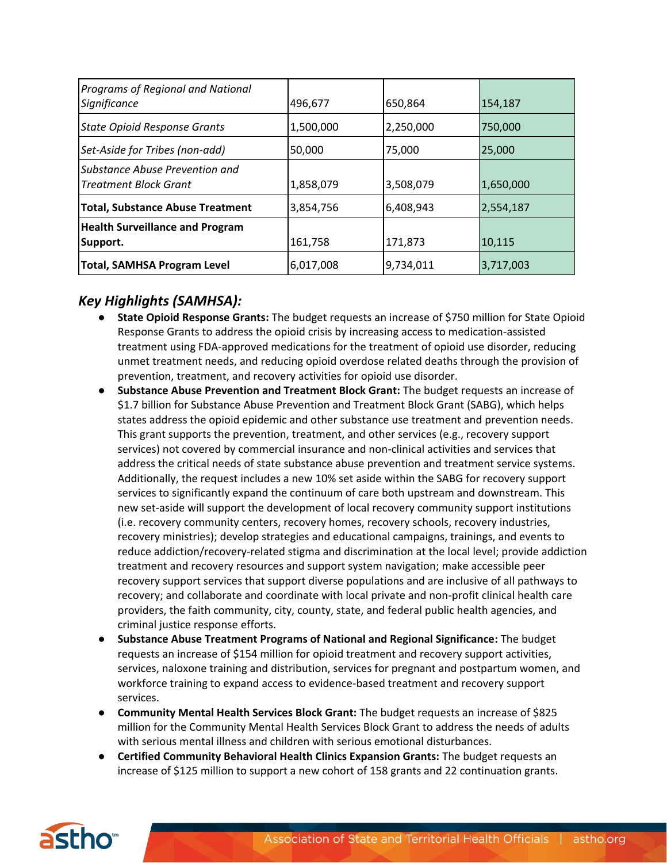| Programs of Regional and National<br>Significance              | 496,677   | 650,864   | 154,187   |
|----------------------------------------------------------------|-----------|-----------|-----------|
| <b>State Opioid Response Grants</b>                            | 1,500,000 | 2,250,000 | 750,000   |
| Set-Aside for Tribes (non-add)                                 | 50,000    | 75,000    | 25,000    |
| Substance Abuse Prevention and<br><b>Treatment Block Grant</b> | 1,858,079 | 3,508,079 | 1,650,000 |
| <b>Total, Substance Abuse Treatment</b>                        | 3,854,756 | 6,408,943 | 2,554,187 |
| <b>Health Surveillance and Program</b><br>Support.             | 161,758   | 171,873   | 10,115    |
| <b>Total, SAMHSA Program Level</b>                             | 6,017,008 | 9,734,011 | 3,717,003 |

## *Key Highlights (SAMHSA):*

- **State Opioid Response Grants:** The budget requests an increase of \$750 million for State Opioid Response Grants to address the opioid crisis by increasing access to medication-assisted treatment using FDA-approved medications for the treatment of opioid use disorder, reducing unmet treatment needs, and reducing opioid overdose related deaths through the provision of prevention, treatment, and recovery activities for opioid use disorder.
- **Substance Abuse Prevention and Treatment Block Grant:** The budget requests an increase of \$1.7 billion for Substance Abuse Prevention and Treatment Block Grant (SABG), which helps states address the opioid epidemic and other substance use treatment and prevention needs. This grant supports the prevention, treatment, and other services (e.g., recovery support services) not covered by commercial insurance and non-clinical activities and services that address the critical needs of state substance abuse prevention and treatment service systems. Additionally, the request includes a new 10% set aside within the SABG for recovery support services to significantly expand the continuum of care both upstream and downstream. This new set-aside will support the development of local recovery community support institutions (i.e. recovery community centers, recovery homes, recovery schools, recovery industries, recovery ministries); develop strategies and educational campaigns, trainings, and events to reduce addiction/recovery-related stigma and discrimination at the local level; provide addiction treatment and recovery resources and support system navigation; make accessible peer recovery support services that support diverse populations and are inclusive of all pathways to recovery; and collaborate and coordinate with local private and non-profit clinical health care providers, the faith community, city, county, state, and federal public health agencies, and criminal justice response efforts.
- **Substance Abuse Treatment Programs of National and Regional Significance:** The budget requests an increase of \$154 million for opioid treatment and recovery support activities, services, naloxone training and distribution, services for pregnant and postpartum women, and workforce training to expand access to evidence-based treatment and recovery support services.
- **Community Mental Health Services Block Grant:** The budget requests an increase of \$825 million for the Community Mental Health Services Block Grant to address the needs of adults with serious mental illness and children with serious emotional disturbances.
- **Certified Community Behavioral Health Clinics Expansion Grants:** The budget requests an increase of \$125 million to support a new cohort of 158 grants and 22 continuation grants.

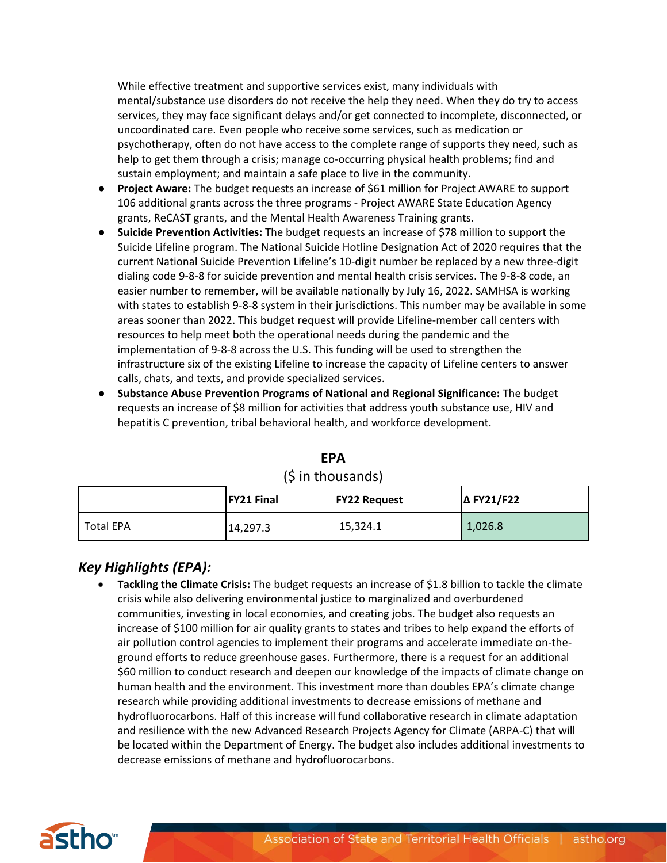While effective treatment and supportive services exist, many individuals with mental/substance use disorders do not receive the help they need. When they do try to access services, they may face significant delays and/or get connected to incomplete, disconnected, or uncoordinated care. Even people who receive some services, such as medication or psychotherapy, often do not have access to the complete range of supports they need, such as help to get them through a crisis; manage co-occurring physical health problems; find and sustain employment; and maintain a safe place to live in the community.

- **Project Aware:** The budget requests an increase of \$61 million for Project AWARE to support 106 additional grants across the three programs - Project AWARE State Education Agency grants, ReCAST grants, and the Mental Health Awareness Training grants.
- **Suicide Prevention Activities:** The budget requests an increase of \$78 million to support the Suicide Lifeline program. The National Suicide Hotline Designation Act of 2020 requires that the current National Suicide Prevention Lifeline's 10-digit number be replaced by a new three-digit dialing code 9-8-8 for suicide prevention and mental health crisis services. The 9-8-8 code, an easier number to remember, will be available nationally by July 16, 2022. SAMHSA is working with states to establish 9-8-8 system in their jurisdictions. This number may be available in some areas sooner than 2022. This budget request will provide Lifeline-member call centers with resources to help meet both the operational needs during the pandemic and the implementation of 9-8-8 across the U.S. This funding will be used to strengthen the infrastructure six of the existing Lifeline to increase the capacity of Lifeline centers to answer calls, chats, and texts, and provide specialized services.
- **Substance Abuse Prevention Programs of National and Regional Significance:** The budget requests an increase of \$8 million for activities that address youth substance use, HIV and hepatitis C prevention, tribal behavioral health, and workforce development.

|             | <b>FY21 Final</b> | <b>FY22 Request</b> | <b>ΔFY21/F22</b> |
|-------------|-------------------|---------------------|------------------|
| l Total EPA | 14,297.3          | 15,324.1            | 1,026.8          |

**EPA**  $(6 in$  thousands)

### *Key Highlights (EPA):*

• **Tackling the Climate Crisis:** The budget requests an increase of \$1.8 billion to tackle the climate crisis while also delivering environmental justice to marginalized and overburdened communities, investing in local economies, and creating jobs. The budget also requests an increase of \$100 million for air quality grants to states and tribes to help expand the efforts of air pollution control agencies to implement their programs and accelerate immediate on-theground efforts to reduce greenhouse gases. Furthermore, there is a request for an additional \$60 million to conduct research and deepen our knowledge of the impacts of climate change on human health and the environment. This investment more than doubles EPA's climate change research while providing additional investments to decrease emissions of methane and hydrofluorocarbons. Half of this increase will fund collaborative research in climate adaptation and resilience with the new Advanced Research Projects Agency for Climate (ARPA-C) that will be located within the Department of Energy. The budget also includes additional investments to decrease emissions of methane and hydrofluorocarbons.

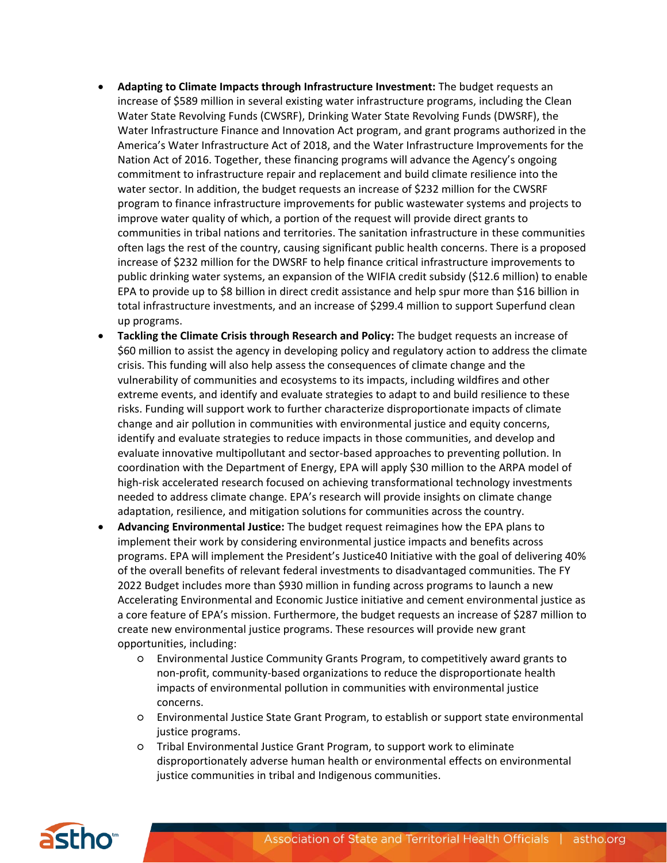- **Adapting to Climate Impacts through Infrastructure Investment:** The budget requests an increase of \$589 million in several existing water infrastructure programs, including the Clean Water State Revolving Funds (CWSRF), Drinking Water State Revolving Funds (DWSRF), the Water Infrastructure Finance and Innovation Act program, and grant programs authorized in the America's Water Infrastructure Act of 2018, and the Water Infrastructure Improvements for the Nation Act of 2016. Together, these financing programs will advance the Agency's ongoing commitment to infrastructure repair and replacement and build climate resilience into the water sector. In addition, the budget requests an increase of \$232 million for the CWSRF program to finance infrastructure improvements for public wastewater systems and projects to improve water quality of which, a portion of the request will provide direct grants to communities in tribal nations and territories. The sanitation infrastructure in these communities often lags the rest of the country, causing significant public health concerns. There is a proposed increase of \$232 million for the DWSRF to help finance critical infrastructure improvements to public drinking water systems, an expansion of the WIFIA credit subsidy (\$12.6 million) to enable EPA to provide up to \$8 billion in direct credit assistance and help spur more than \$16 billion in total infrastructure investments, and an increase of \$299.4 million to support Superfund clean up programs.
- **Tackling the Climate Crisis through Research and Policy:** The budget requests an increase of \$60 million to assist the agency in developing policy and regulatory action to address the climate crisis. This funding will also help assess the consequences of climate change and the vulnerability of communities and ecosystems to its impacts, including wildfires and other extreme events, and identify and evaluate strategies to adapt to and build resilience to these risks. Funding will support work to further characterize disproportionate impacts of climate change and air pollution in communities with environmental justice and equity concerns, identify and evaluate strategies to reduce impacts in those communities, and develop and evaluate innovative multipollutant and sector-based approaches to preventing pollution. In coordination with the Department of Energy, EPA will apply \$30 million to the ARPA model of high-risk accelerated research focused on achieving transformational technology investments needed to address climate change. EPA's research will provide insights on climate change adaptation, resilience, and mitigation solutions for communities across the country.
- **Advancing Environmental Justice:** The budget request reimagines how the EPA plans to implement their work by considering environmental justice impacts and benefits across programs. EPA will implement the President's Justice40 Initiative with the goal of delivering 40% of the overall benefits of relevant federal investments to disadvantaged communities. The FY 2022 Budget includes more than \$930 million in funding across programs to launch a new Accelerating Environmental and Economic Justice initiative and cement environmental justice as a core feature of EPA's mission. Furthermore, the budget requests an increase of \$287 million to create new environmental justice programs. These resources will provide new grant opportunities, including:
	- Environmental Justice Community Grants Program, to competitively award grants to non-profit, community-based organizations to reduce the disproportionate health impacts of environmental pollution in communities with environmental justice concerns.
	- Environmental Justice State Grant Program, to establish or support state environmental justice programs.
	- Tribal Environmental Justice Grant Program, to support work to eliminate disproportionately adverse human health or environmental effects on environmental justice communities in tribal and Indigenous communities.

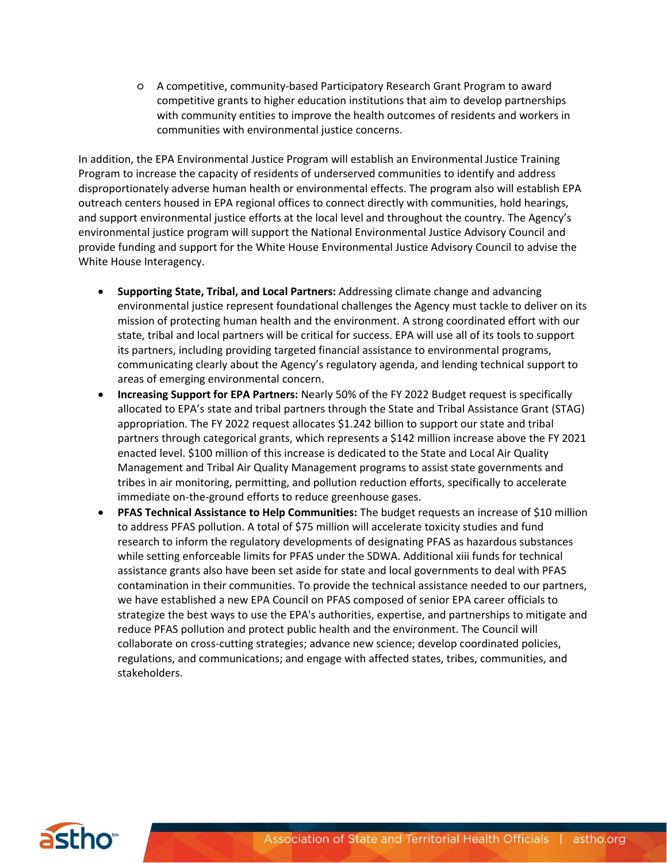○ A competitive, community-based Participatory Research Grant Program to award competitive grants to higher education institutions that aim to develop partnerships with community entities to improve the health outcomes of residents and workers in communities with environmental justice concerns.

In addition, the EPA Environmental Justice Program will establish an Environmental Justice Training Program to increase the capacity of residents of underserved communities to identify and address disproportionately adverse human health or environmental effects. The program also will establish EPA outreach centers housed in EPA regional offices to connect directly with communities, hold hearings, and support environmental justice efforts at the local level and throughout the country. The Agency's environmental justice program will support the National Environmental Justice Advisory Council and provide funding and support for the White House Environmental Justice Advisory Council to advise the White House Interagency.

- **Supporting State, Tribal, and Local Partners:** Addressing climate change and advancing environmental justice represent foundational challenges the Agency must tackle to deliver on its mission of protecting human health and the environment. A strong coordinated effort with our state, tribal and local partners will be critical for success. EPA will use all of its tools to support its partners, including providing targeted financial assistance to environmental programs, communicating clearly about the Agency's regulatory agenda, and lending technical support to areas of emerging environmental concern.
- **Increasing Support for EPA Partners:** Nearly 50% of the FY 2022 Budget request is specifically allocated to EPA's state and tribal partners through the State and Tribal Assistance Grant (STAG) appropriation. The FY 2022 request allocates \$1.242 billion to support our state and tribal partners through categorical grants, which represents a \$142 million increase above the FY 2021 enacted level. \$100 million of this increase is dedicated to the State and Local Air Quality Management and Tribal Air Quality Management programs to assist state governments and tribes in air monitoring, permitting, and pollution reduction efforts, specifically to accelerate immediate on-the-ground efforts to reduce greenhouse gases.
- **PFAS Technical Assistance to Help Communities:** The budget requests an increase of \$10 million to address PFAS pollution. A total of \$75 million will accelerate toxicity studies and fund research to inform the regulatory developments of designating PFAS as hazardous substances while setting enforceable limits for PFAS under the SDWA. Additional xiii funds for technical assistance grants also have been set aside for state and local governments to deal with PFAS contamination in their communities. To provide the technical assistance needed to our partners, we have established a new EPA Council on PFAS composed of senior EPA career officials to strategize the best ways to use the EPA's authorities, expertise, and partnerships to mitigate and reduce PFAS pollution and protect public health and the environment. The Council will collaborate on cross-cutting strategies; advance new science; develop coordinated policies, regulations, and communications; and engage with affected states, tribes, communities, and stakeholders.

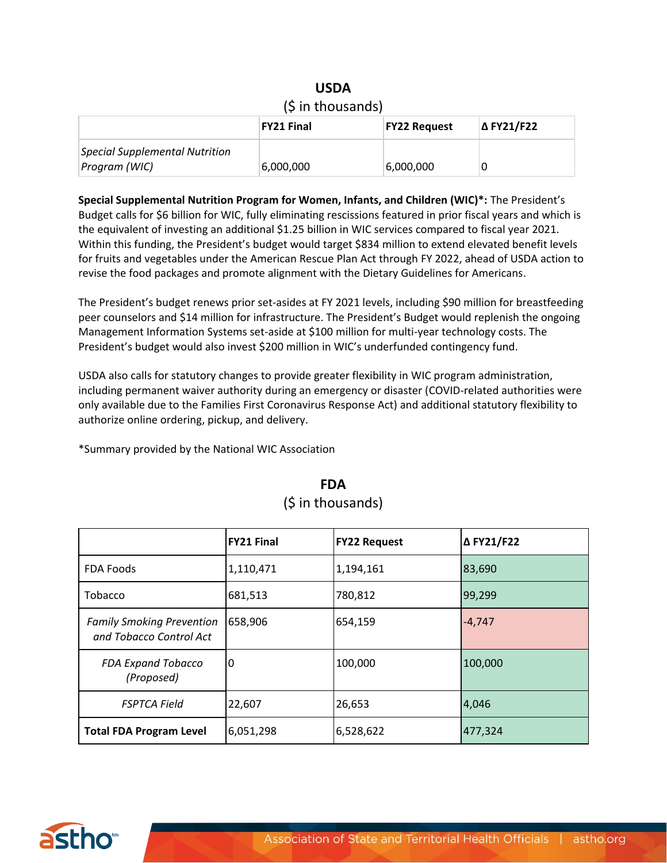| $(5$ in thousands)                                     |                   |                     |            |  |
|--------------------------------------------------------|-------------------|---------------------|------------|--|
|                                                        | <b>FY21 Final</b> | <b>FY22 Request</b> | Δ FY21/F22 |  |
| <b>Special Supplemental Nutrition</b><br>Program (WIC) | 6,000,000         | 6,000,000           |            |  |

**USDA**

**Special Supplemental Nutrition Program for Women, Infants, and Children (WIC)\*:** The President's Budget calls for \$6 billion for WIC, fully eliminating rescissions featured in prior fiscal years and which is the equivalent of investing an additional \$1.25 billion in WIC services compared to fiscal year 2021. Within this funding, the President's budget would target \$834 million to extend elevated benefit levels for fruits and vegetables under the American Rescue Plan Act through FY 2022, ahead of USDA action to revise the food packages and promote alignment with the Dietary Guidelines for Americans.

The President's budget renews prior set-asides at FY 2021 levels, including \$90 million for breastfeeding peer counselors and \$14 million for infrastructure. The President's Budget would replenish the ongoing Management Information Systems set-aside at \$100 million for multi-year technology costs. The President's budget would also invest \$200 million in WIC's underfunded contingency fund.

USDA also calls for statutory changes to provide greater flexibility in WIC program administration, including permanent waiver authority during an emergency or disaster (COVID-related authorities were only available due to the Families First Coronavirus Response Act) and additional statutory flexibility to authorize online ordering, pickup, and delivery.

\*Summary provided by the National WIC Association

|                                                             | <b>FY21 Final</b> | <b>FY22 Request</b> | Δ FY21/F22 |
|-------------------------------------------------------------|-------------------|---------------------|------------|
| FDA Foods                                                   | 1,110,471         | 1,194,161           | 83,690     |
| <b>Tobacco</b>                                              | 681,513           | 780,812             | 99,299     |
| <b>Family Smoking Prevention</b><br>and Tobacco Control Act | 658,906           | 654,159             | $-4,747$   |
| <b>FDA Expand Tobacco</b><br>(Proposed)                     | 0                 | 100,000             | 100,000    |
| <b>FSPTCA Field</b>                                         | 22,607            | 26,653              | 4,046      |
| <b>Total FDA Program Level</b>                              | 6,051,298         | 6,528,622           | 477,324    |

#### **FDA** (\$ in thousands)